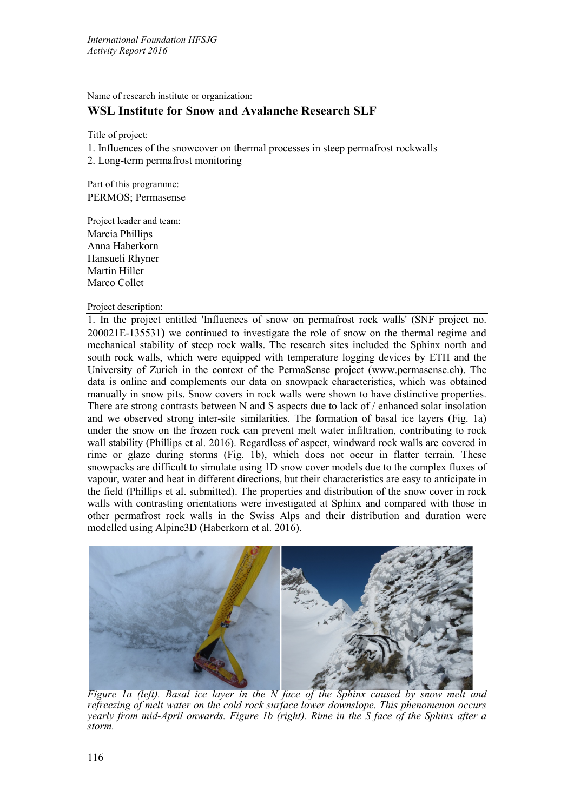Name of research institute or organization:

# **WSL Institute for Snow and Avalanche Research SLF**

Title of project:

1. Influences of the snowcover on thermal processes in steep permafrost rockwalls

2. Long-term permafrost monitoring

Part of this programme:

PERMOS; Permasense

Project leader and team:

Marcia Phillips Anna Haberkorn Hansueli Rhyner Martin Hiller Marco Collet

#### Project description:

1. In the project entitled 'Influences of snow on permafrost rock walls' (SNF project no. 200021E-135531**)** we continued to investigate the role of snow on the thermal regime and mechanical stability of steep rock walls. The research sites included the Sphinx north and south rock walls, which were equipped with temperature logging devices by ETH and the University of Zurich in the context of the PermaSense project (www.permasense.ch). The data is online and complements our data on snowpack characteristics, which was obtained manually in snow pits. Snow covers in rock walls were shown to have distinctive properties. There are strong contrasts between N and S aspects due to lack of / enhanced solar insolation and we observed strong inter-site similarities. The formation of basal ice layers (Fig. 1a) under the snow on the frozen rock can prevent melt water infiltration, contributing to rock wall stability (Phillips et al. 2016). Regardless of aspect, windward rock walls are covered in rime or glaze during storms (Fig. 1b), which does not occur in flatter terrain. These snowpacks are difficult to simulate using 1D snow cover models due to the complex fluxes of vapour, water and heat in different directions, but their characteristics are easy to anticipate in the field (Phillips et al. submitted). The properties and distribution of the snow cover in rock walls with contrasting orientations were investigated at Sphinx and compared with those in other permafrost rock walls in the Swiss Alps and their distribution and duration were modelled using Alpine3D (Haberkorn et al. 2016).



*Figure 1a (left). Basal ice layer in the N face of the Sphinx caused by snow melt and refreezing of melt water on the cold rock surface lower downslope. This phenomenon occurs yearly from mid-April onwards. Figure 1b (right). Rime in the S face of the Sphinx after a storm.*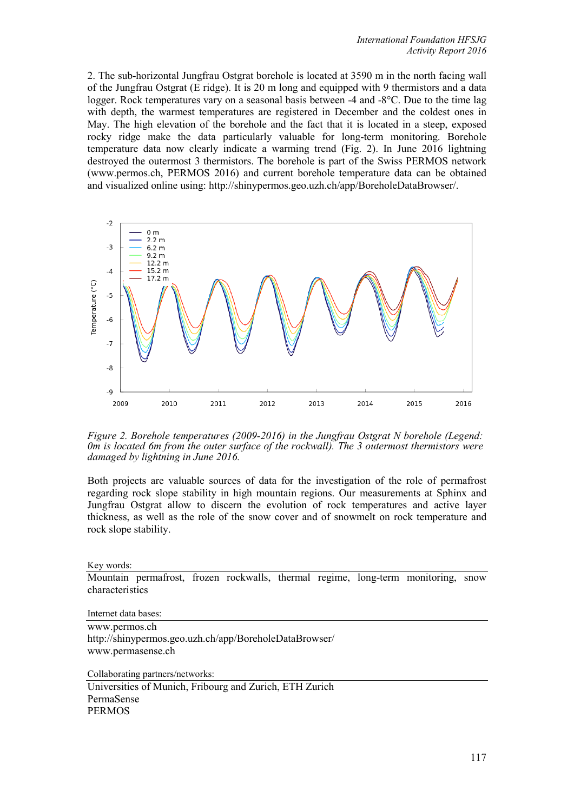2. The sub-horizontal Jungfrau Ostgrat borehole is located at 3590 m in the north facing wall of the Jungfrau Ostgrat (E ridge). It is 20 m long and equipped with 9 thermistors and a data logger. Rock temperatures vary on a seasonal basis between -4 and -8°C. Due to the time lag with depth, the warmest temperatures are registered in December and the coldest ones in May. The high elevation of the borehole and the fact that it is located in a steep, exposed rocky ridge make the data particularly valuable for long-term monitoring. Borehole temperature data now clearly indicate a warming trend (Fig. 2). In June 2016 lightning destroyed the outermost 3 thermistors. The borehole is part of the Swiss PERMOS network (www.permos.ch, PERMOS 2016) and current borehole temperature data can be obtained and visualized online using: http://shinypermos.geo.uzh.ch/app/BoreholeDataBrowser/.



*Figure 2. Borehole temperatures (2009-2016) in the Jungfrau Ostgrat N borehole (Legend: 0m is located 6m from the outer surface of the rockwall). The 3 outermost thermistors were damaged by lightning in June 2016.*

Both projects are valuable sources of data for the investigation of the role of permafrost regarding rock slope stability in high mountain regions. Our measurements at Sphinx and Jungfrau Ostgrat allow to discern the evolution of rock temperatures and active layer thickness, as well as the role of the snow cover and of snowmelt on rock temperature and rock slope stability.

Key words:

Mountain permafrost, frozen rockwalls, thermal regime, long-term monitoring, snow characteristics

Internet data bases:

www.permos.ch http://shinypermos.geo.uzh.ch/app/BoreholeDataBrowser/ www.permasense.ch

Collaborating partners/networks:

Universities of Munich, Fribourg and Zurich, ETH Zurich PermaSense PERMOS